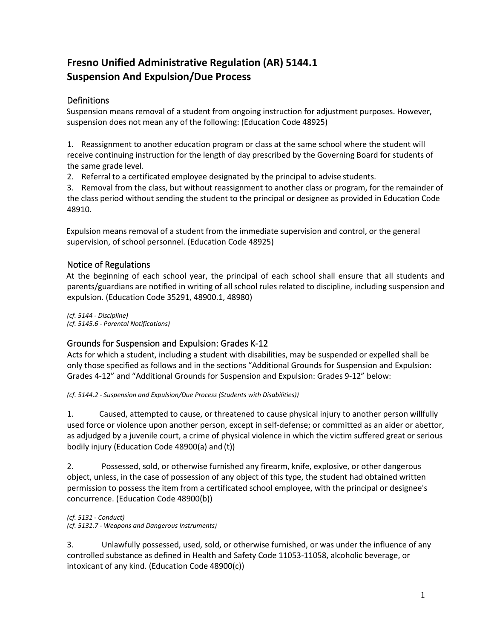# **Fresno Unified Administrative Regulation (AR) 5144.1 Suspension And Expulsion/Due Process**

# Definitions

Suspension means removal of a student from ongoing instruction for adjustment purposes. However, suspension does not mean any of the following: (Education Code 48925)

1. Reassignment to another education program or class at the same school where the student will receive continuing instruction for the length of day prescribed by the Governing Board for students of the same grade level.

2. Referral to a certificated employee designated by the principal to advise students.

3. Removal from the class, but without reassignment to another class or program, for the remainder of the class period without sending the student to the principal or designee as provided in Education Code 48910.

Expulsion means removal of a student from the immediate supervision and control, or the general supervision, of school personnel. (Education Code 48925)

### Notice of Regulations

At the beginning of each school year, the principal of each school shall ensure that all students and parents/guardians are notified in writing of all school rules related to discipline, including suspension and expulsion. (Education Code 35291, 48900.1, 48980)

*(cf. 5144 - Discipline) (cf. 5145.6 - Parental Notifications)*

# Grounds for Suspension and Expulsion: Grades K-12

Acts for which a student, including a student with disabilities, may be suspended or expelled shall be only those specified as follows and in the sections "Additional Grounds for Suspension and Expulsion: Grades 4-12" and "Additional Grounds for Suspension and Expulsion: Grades 9-12" below:

*(cf. 5144.2 - Suspension and Expulsion/Due Process (Students with Disabilities))*

1. Caused, attempted to cause, or threatened to cause physical injury to another person willfully used force or violence upon another person, except in self-defense; or committed as an aider or abettor, as adjudged by a juvenile court, a crime of physical violence in which the victim suffered great or serious bodily injury (Education Code 48900(a) and (t))

2. Possessed, sold, or otherwise furnished any firearm, knife, explosive, or other dangerous object, unless, in the case of possession of any object of this type, the student had obtained written permission to possess the item from a certificated school employee, with the principal or designee's concurrence. (Education Code 48900(b))

*(cf. 5131 - Conduct) (cf. 5131.7 - Weapons and Dangerous Instruments)*

3. Unlawfully possessed, used, sold, or otherwise furnished, or was under the influence of any controlled substance as defined in Health and Safety Code 11053-11058, alcoholic beverage, or intoxicant of any kind. (Education Code 48900(c))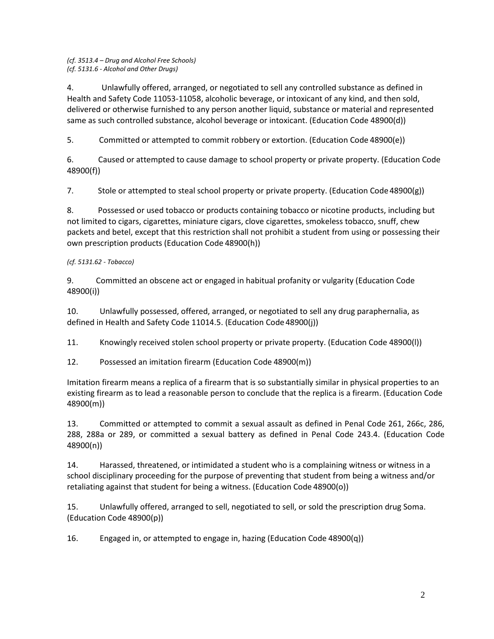#### *(cf. 3513.4 – Drug and Alcohol Free Schools) (cf. 5131.6 - Alcohol and Other Drugs)*

4. Unlawfully offered, arranged, or negotiated to sell any controlled substance as defined in Health and Safety Code 11053-11058, alcoholic beverage, or intoxicant of any kind, and then sold, delivered or otherwise furnished to any person another liquid, substance or material and represented same as such controlled substance, alcohol beverage or intoxicant. (Education Code 48900(d))

5. Committed or attempted to commit robbery or extortion. (Education Code 48900(e))

6. Caused or attempted to cause damage to school property or private property. (Education Code 48900(f))

7. Stole or attempted to steal school property or private property. (Education Code 48900(g))

8. Possessed or used tobacco or products containing tobacco or nicotine products, including but not limited to cigars, cigarettes, miniature cigars, clove cigarettes, smokeless tobacco, snuff, chew packets and betel, except that this restriction shall not prohibit a student from using or possessing their own prescription products (Education Code 48900(h))

#### *(cf. 5131.62 - Tobacco)*

9. Committed an obscene act or engaged in habitual profanity or vulgarity (Education Code 48900(i))

10. Unlawfully possessed, offered, arranged, or negotiated to sell any drug paraphernalia, as defined in Health and Safety Code 11014.5. (Education Code 48900(j))

11. Knowingly received stolen school property or private property. (Education Code 48900(l))

12. Possessed an imitation firearm (Education Code 48900(m))

Imitation firearm means a replica of a firearm that is so substantially similar in physical properties to an existing firearm as to lead a reasonable person to conclude that the replica is a firearm. (Education Code 48900(m))

13. Committed or attempted to commit a sexual assault as defined in Penal Code 261, 266c, 286, 288, 288a or 289, or committed a sexual battery as defined in Penal Code 243.4. (Education Code 48900(n))

14. Harassed, threatened, or intimidated a student who is a complaining witness or witness in a school disciplinary proceeding for the purpose of preventing that student from being a witness and/or retaliating against that student for being a witness. (Education Code 48900(o))

15. Unlawfully offered, arranged to sell, negotiated to sell, or sold the prescription drug Soma. (Education Code 48900(p))

16. Engaged in, or attempted to engage in, hazing (Education Code 48900(q))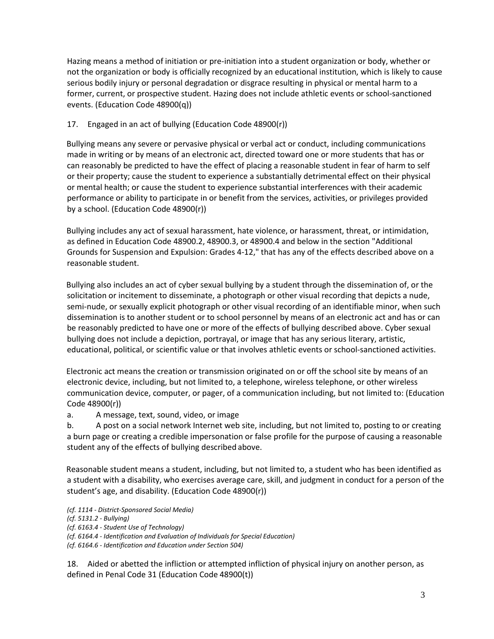Hazing means a method of initiation or pre-initiation into a student organization or body, whether or not the organization or body is officially recognized by an educational institution, which is likely to cause serious bodily injury or personal degradation or disgrace resulting in physical or mental harm to a former, current, or prospective student. Hazing does not include athletic events or school-sanctioned events. (Education Code 48900(q))

### 17. Engaged in an act of bullying (Education Code 48900(r))

Bullying means any severe or pervasive physical or verbal act or conduct, including communications made in writing or by means of an electronic act, directed toward one or more students that has or can reasonably be predicted to have the effect of placing a reasonable student in fear of harm to self or their property; cause the student to experience a substantially detrimental effect on their physical or mental health; or cause the student to experience substantial interferences with their academic performance or ability to participate in or benefit from the services, activities, or privileges provided by a school. (Education Code 48900(r))

Bullying includes any act of sexual harassment, hate violence, or harassment, threat, or intimidation, as defined in Education Code 48900.2, 48900.3, or 48900.4 and below in the section "Additional Grounds for Suspension and Expulsion: Grades 4-12," that has any of the effects described above on a reasonable student.

Bullying also includes an act of cyber sexual bullying by a student through the dissemination of, or the solicitation or incitement to disseminate, a photograph or other visual recording that depicts a nude, semi-nude, or sexually explicit photograph or other visual recording of an identifiable minor, when such dissemination is to another student or to school personnel by means of an electronic act and has or can be reasonably predicted to have one or more of the effects of bullying described above. Cyber sexual bullying does not include a depiction, portrayal, or image that has any serious literary, artistic, educational, political, or scientific value or that involves athletic events or school-sanctioned activities.

Electronic act means the creation or transmission originated on or off the school site by means of an electronic device, including, but not limited to, a telephone, wireless telephone, or other wireless communication device, computer, or pager, of a communication including, but not limited to: (Education Code 48900(r))

a. A message, text, sound, video, or image

b. A post on a social network Internet web site, including, but not limited to, posting to or creating a burn page or creating a credible impersonation or false profile for the purpose of causing a reasonable student any of the effects of bullying described above.

Reasonable student means a student, including, but not limited to, a student who has been identified as a student with a disability, who exercises average care, skill, and judgment in conduct for a person of the student's age, and disability. (Education Code 48900(r))

*(cf. 1114 - District-Sponsored Social Media)*

*(cf. 5131.2 - Bullying)*

*(cf. 6163.4 - Student Use of Technology)*

*(cf. 6164.4 - Identification and Evaluation of Individuals for Special Education)* 

*(cf. 6164.6 - Identification and Education under Section 504)*

18. Aided or abetted the infliction or attempted infliction of physical injury on another person, as defined in Penal Code 31 (Education Code 48900(t))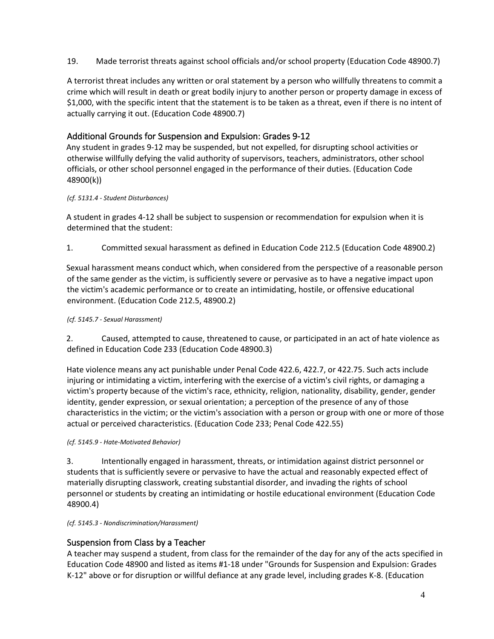19. Made terrorist threats against school officials and/or school property (Education Code 48900.7)

A terrorist threat includes any written or oral statement by a person who willfully threatens to commit a crime which will result in death or great bodily injury to another person or property damage in excess of \$1,000, with the specific intent that the statement is to be taken as a threat, even if there is no intent of actually carrying it out. (Education Code 48900.7)

# Additional Grounds for Suspension and Expulsion: Grades 9-12

Any student in grades 9-12 may be suspended, but not expelled, for disrupting school activities or otherwise willfully defying the valid authority of supervisors, teachers, administrators, other school officials, or other school personnel engaged in the performance of their duties. (Education Code 48900(k))

### *(cf. 5131.4 - Student Disturbances)*

A student in grades 4-12 shall be subject to suspension or recommendation for expulsion when it is determined that the student:

1. Committed sexual harassment as defined in Education Code 212.5 (Education Code 48900.2)

Sexual harassment means conduct which, when considered from the perspective of a reasonable person of the same gender as the victim, is sufficiently severe or pervasive as to have a negative impact upon the victim's academic performance or to create an intimidating, hostile, or offensive educational environment. (Education Code 212.5, 48900.2)

#### *(cf. 5145.7 - Sexual Harassment)*

2. Caused, attempted to cause, threatened to cause, or participated in an act of hate violence as defined in Education Code 233 (Education Code 48900.3)

Hate violence means any act punishable under Penal Code 422.6, 422.7, or 422.75. Such acts include injuring or intimidating a victim, interfering with the exercise of a victim's civil rights, or damaging a victim's property because of the victim's race, ethnicity, religion, nationality, disability, gender, gender identity, gender expression, or sexual orientation; a perception of the presence of any of those characteristics in the victim; or the victim's association with a person or group with one or more of those actual or perceived characteristics. (Education Code 233; Penal Code 422.55)

*(cf. 5145.9 - Hate-Motivated Behavior)*

3. Intentionally engaged in harassment, threats, or intimidation against district personnel or students that is sufficiently severe or pervasive to have the actual and reasonably expected effect of materially disrupting classwork, creating substantial disorder, and invading the rights of school personnel or students by creating an intimidating or hostile educational environment (Education Code 48900.4)

*(cf. 5145.3 - Nondiscrimination/Harassment)*

# Suspension from Class by a Teacher

A teacher may suspend a student, from class for the remainder of the day for any of the acts specified in Education Code 48900 and listed as items #1-18 under "Grounds for Suspension and Expulsion: Grades K-12" above or for disruption or willful defiance at any grade level, including grades K-8. (Education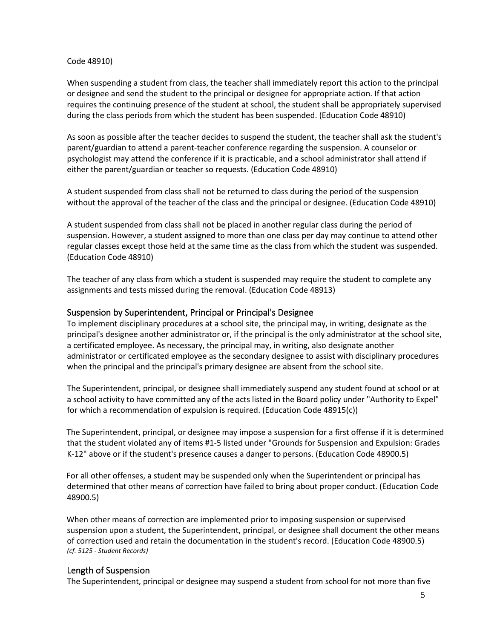#### Code 48910)

When suspending a student from class, the teacher shall immediately report this action to the principal or designee and send the student to the principal or designee for appropriate action. If that action requires the continuing presence of the student at school, the student shall be appropriately supervised during the class periods from which the student has been suspended. (Education Code 48910)

As soon as possible after the teacher decides to suspend the student, the teacher shall ask the student's parent/guardian to attend a parent-teacher conference regarding the suspension. A counselor or psychologist may attend the conference if it is practicable, and a school administrator shall attend if either the parent/guardian or teacher so requests. (Education Code 48910)

A student suspended from class shall not be returned to class during the period of the suspension without the approval of the teacher of the class and the principal or designee. (Education Code 48910)

A student suspended from class shall not be placed in another regular class during the period of suspension. However, a student assigned to more than one class per day may continue to attend other regular classes except those held at the same time as the class from which the student was suspended. (Education Code 48910)

The teacher of any class from which a student is suspended may require the student to complete any assignments and tests missed during the removal. (Education Code 48913)

#### Suspension by Superintendent, Principal or Principal's Designee

To implement disciplinary procedures at a school site, the principal may, in writing, designate as the principal's designee another administrator or, if the principal is the only administrator at the school site, a certificated employee. As necessary, the principal may, in writing, also designate another administrator or certificated employee as the secondary designee to assist with disciplinary procedures when the principal and the principal's primary designee are absent from the school site.

The Superintendent, principal, or designee shall immediately suspend any student found at school or at a school activity to have committed any of the acts listed in the Board policy under "Authority to Expel" for which a recommendation of expulsion is required. (Education Code 48915(c))

The Superintendent, principal, or designee may impose a suspension for a first offense if it is determined that the student violated any of items #1-5 listed under "Grounds for Suspension and Expulsion: Grades K-12" above or if the student's presence causes a danger to persons. (Education Code 48900.5)

For all other offenses, a student may be suspended only when the Superintendent or principal has determined that other means of correction have failed to bring about proper conduct. (Education Code 48900.5)

When other means of correction are implemented prior to imposing suspension or supervised suspension upon a student, the Superintendent, principal, or designee shall document the other means of correction used and retain the documentation in the student's record. (Education Code 48900.5) *(cf. 5125 - Student Records)*

#### Length of Suspension

The Superintendent, principal or designee may suspend a student from school for not more than five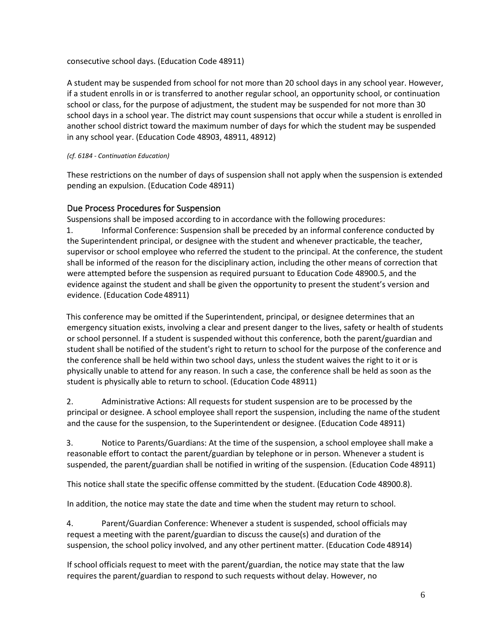consecutive school days. (Education Code 48911)

A student may be suspended from school for not more than 20 school days in any school year. However, if a student enrolls in or is transferred to another regular school, an opportunity school, or continuation school or class, for the purpose of adjustment, the student may be suspended for not more than 30 school days in a school year. The district may count suspensions that occur while a student is enrolled in another school district toward the maximum number of days for which the student may be suspended in any school year. (Education Code 48903, 48911, 48912)

#### *(cf. 6184 - Continuation Education)*

These restrictions on the number of days of suspension shall not apply when the suspension is extended pending an expulsion. (Education Code 48911)

### Due Process Procedures for Suspension

Suspensions shall be imposed according to in accordance with the following procedures:

1. Informal Conference: Suspension shall be preceded by an informal conference conducted by the Superintendent principal, or designee with the student and whenever practicable, the teacher, supervisor or school employee who referred the student to the principal. At the conference, the student shall be informed of the reason for the disciplinary action, including the other means of correction that were attempted before the suspension as required pursuant to Education Code 48900.5, and the evidence against the student and shall be given the opportunity to present the student's version and evidence. (Education Code 48911)

This conference may be omitted if the Superintendent, principal, or designee determines that an emergency situation exists, involving a clear and present danger to the lives, safety or health of students or school personnel. If a student is suspended without this conference, both the parent/guardian and student shall be notified of the student's right to return to school for the purpose of the conference and the conference shall be held within two school days, unless the student waives the right to it or is physically unable to attend for any reason. In such a case, the conference shall be held as soon as the student is physically able to return to school. (Education Code 48911)

2. Administrative Actions: All requests for student suspension are to be processed by the principal or designee. A school employee shall report the suspension, including the name ofthe student and the cause for the suspension, to the Superintendent or designee. (Education Code 48911)

3. Notice to Parents/Guardians: At the time of the suspension, a school employee shall make a reasonable effort to contact the parent/guardian by telephone or in person. Whenever a student is suspended, the parent/guardian shall be notified in writing of the suspension. (Education Code 48911)

This notice shall state the specific offense committed by the student. (Education Code 48900.8).

In addition, the notice may state the date and time when the student may return to school.

4. Parent/Guardian Conference: Whenever a student is suspended, school officials may request a meeting with the parent/guardian to discuss the cause(s) and duration of the suspension, the school policy involved, and any other pertinent matter. (Education Code 48914)

If school officials request to meet with the parent/guardian, the notice may state that the law requires the parent/guardian to respond to such requests without delay. However, no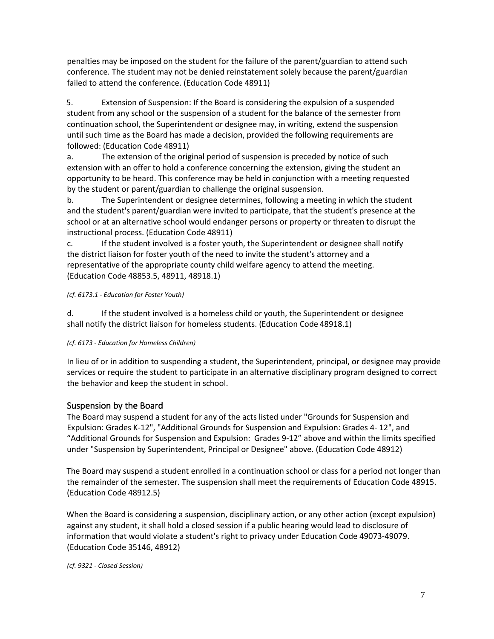penalties may be imposed on the student for the failure of the parent/guardian to attend such conference. The student may not be denied reinstatement solely because the parent/guardian failed to attend the conference. (Education Code 48911)

5. Extension of Suspension: If the Board is considering the expulsion of a suspended student from any school or the suspension of a student for the balance of the semester from continuation school, the Superintendent or designee may, in writing, extend the suspension until such time as the Board has made a decision, provided the following requirements are followed: (Education Code 48911)

a. The extension of the original period of suspension is preceded by notice of such extension with an offer to hold a conference concerning the extension, giving the student an opportunity to be heard. This conference may be held in conjunction with a meeting requested by the student or parent/guardian to challenge the original suspension.

b. The Superintendent or designee determines, following a meeting in which the student and the student's parent/guardian were invited to participate, that the student's presence at the school or at an alternative school would endanger persons or property or threaten to disrupt the instructional process. (Education Code 48911)

c. If the student involved is a foster youth, the Superintendent or designee shall notify the district liaison for foster youth of the need to invite the student's attorney and a representative of the appropriate county child welfare agency to attend the meeting. (Education Code 48853.5, 48911, 48918.1)

#### *(cf. 6173.1 - Education for Foster Youth)*

d. If the student involved is a homeless child or youth, the Superintendent or designee shall notify the district liaison for homeless students. (Education Code 48918.1)

#### *(cf. 6173 - Education for Homeless Children)*

In lieu of or in addition to suspending a student, the Superintendent, principal, or designee may provide services or require the student to participate in an alternative disciplinary program designed to correct the behavior and keep the student in school.

### Suspension by the Board

The Board may suspend a student for any of the acts listed under "Grounds for Suspension and Expulsion: Grades K-12", "Additional Grounds for Suspension and Expulsion: Grades 4- 12", and "Additional Grounds for Suspension and Expulsion: Grades 9-12" above and within the limits specified under "Suspension by Superintendent, Principal or Designee" above. (Education Code 48912)

The Board may suspend a student enrolled in a continuation school or class for a period not longer than the remainder of the semester. The suspension shall meet the requirements of Education Code 48915. (Education Code 48912.5)

When the Board is considering a suspension, disciplinary action, or any other action (except expulsion) against any student, it shall hold a closed session if a public hearing would lead to disclosure of information that would violate a student's right to privacy under Education Code 49073-49079. (Education Code 35146, 48912)

*(cf. 9321 - Closed Session)*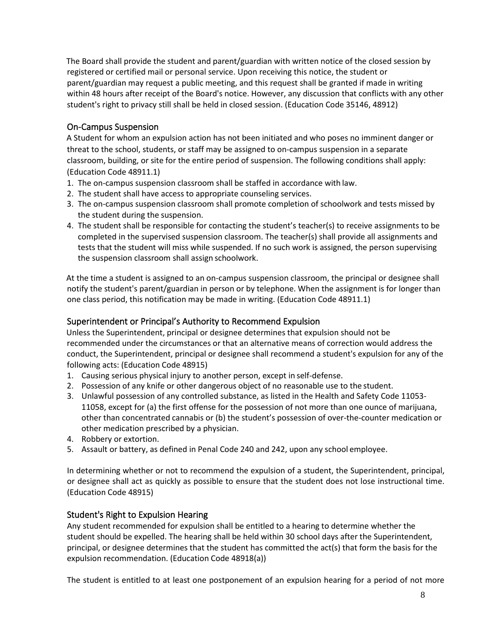The Board shall provide the student and parent/guardian with written notice of the closed session by registered or certified mail or personal service. Upon receiving this notice, the student or parent/guardian may request a public meeting, and this request shall be granted if made in writing within 48 hours after receipt of the Board's notice. However, any discussion that conflicts with any other student's right to privacy still shall be held in closed session. (Education Code 35146, 48912)

### On-Campus Suspension

A Student for whom an expulsion action has not been initiated and who poses no imminent danger or threat to the school, students, or staff may be assigned to on-campus suspension in a separate classroom, building, or site for the entire period of suspension. The following conditions shall apply: (Education Code 48911.1)

- 1. The on-campus suspension classroom shall be staffed in accordance with law.
- 2. The student shall have access to appropriate counseling services.
- 3. The on-campus suspension classroom shall promote completion of schoolwork and tests missed by the student during the suspension.
- 4. The student shall be responsible for contacting the student's teacher(s) to receive assignments to be completed in the supervised suspension classroom. The teacher(s) shall provide all assignments and tests that the student will miss while suspended. If no such work is assigned, the person supervising the suspension classroom shall assign schoolwork.

At the time a student is assigned to an on-campus suspension classroom, the principal or designee shall notify the student's parent/guardian in person or by telephone. When the assignment is for longer than one class period, this notification may be made in writing. (Education Code 48911.1)

### Superintendent or Principal's Authority to Recommend Expulsion

Unless the Superintendent, principal or designee determines that expulsion should not be recommended under the circumstances or that an alternative means of correction would address the conduct, the Superintendent, principal or designee shall recommend a student's expulsion for any of the following acts: (Education Code 48915)

- 1. Causing serious physical injury to another person, except in self-defense.
- 2. Possession of any knife or other dangerous object of no reasonable use to the student.
- 3. Unlawful possession of any controlled substance, as listed in the Health and Safety Code 11053- 11058, except for (a) the first offense for the possession of not more than one ounce of marijuana, other than concentrated cannabis or (b) the student's possession of over-the-counter medication or other medication prescribed by a physician.
- 4. Robbery or extortion.
- 5. Assault or battery, as defined in Penal Code 240 and 242, upon any school employee.

In determining whether or not to recommend the expulsion of a student, the Superintendent, principal, or designee shall act as quickly as possible to ensure that the student does not lose instructional time. (Education Code 48915)

### Student's Right to Expulsion Hearing

Any student recommended for expulsion shall be entitled to a hearing to determine whether the student should be expelled. The hearing shall be held within 30 school days after the Superintendent, principal, or designee determines that the student has committed the act(s) that form the basis for the expulsion recommendation. (Education Code 48918(a))

The student is entitled to at least one postponement of an expulsion hearing for a period of not more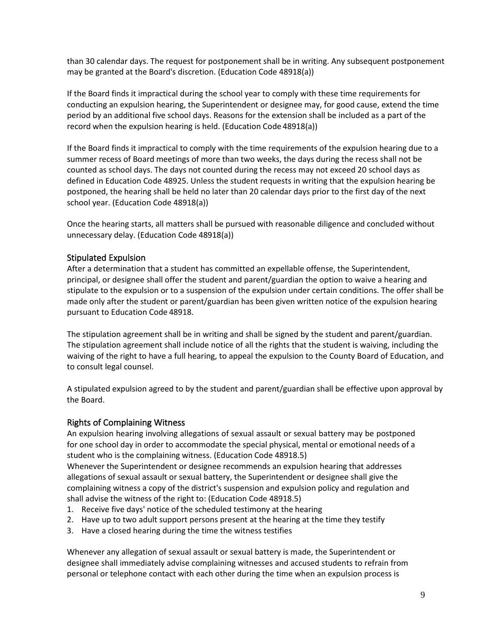than 30 calendar days. The request for postponement shall be in writing. Any subsequent postponement may be granted at the Board's discretion. (Education Code 48918(a))

If the Board finds it impractical during the school year to comply with these time requirements for conducting an expulsion hearing, the Superintendent or designee may, for good cause, extend the time period by an additional five school days. Reasons for the extension shall be included as a part of the record when the expulsion hearing is held. (Education Code 48918(a))

If the Board finds it impractical to comply with the time requirements of the expulsion hearing due to a summer recess of Board meetings of more than two weeks, the days during the recess shall not be counted as school days. The days not counted during the recess may not exceed 20 school days as defined in Education Code 48925. Unless the student requests in writing that the expulsion hearing be postponed, the hearing shall be held no later than 20 calendar days prior to the first day of the next school year. (Education Code 48918(a))

Once the hearing starts, all matters shall be pursued with reasonable diligence and concluded without unnecessary delay. (Education Code 48918(a))

### Stipulated Expulsion

After a determination that a student has committed an expellable offense, the Superintendent, principal, or designee shall offer the student and parent/guardian the option to waive a hearing and stipulate to the expulsion or to a suspension of the expulsion under certain conditions. The offer shall be made only after the student or parent/guardian has been given written notice of the expulsion hearing pursuant to Education Code 48918.

The stipulation agreement shall be in writing and shall be signed by the student and parent/guardian. The stipulation agreement shall include notice of all the rights that the student is waiving, including the waiving of the right to have a full hearing, to appeal the expulsion to the County Board of Education, and to consult legal counsel.

A stipulated expulsion agreed to by the student and parent/guardian shall be effective upon approval by the Board.

#### Rights of Complaining Witness

An expulsion hearing involving allegations of sexual assault or sexual battery may be postponed for one school day in order to accommodate the special physical, mental or emotional needs of a student who is the complaining witness. (Education Code 48918.5)

Whenever the Superintendent or designee recommends an expulsion hearing that addresses allegations of sexual assault or sexual battery, the Superintendent or designee shall give the complaining witness a copy of the district's suspension and expulsion policy and regulation and shall advise the witness of the right to: (Education Code 48918.5)

- 1. Receive five days' notice of the scheduled testimony at the hearing
- 2. Have up to two adult support persons present at the hearing at the time they testify
- 3. Have a closed hearing during the time the witness testifies

Whenever any allegation of sexual assault or sexual battery is made, the Superintendent or designee shall immediately advise complaining witnesses and accused students to refrain from personal or telephone contact with each other during the time when an expulsion process is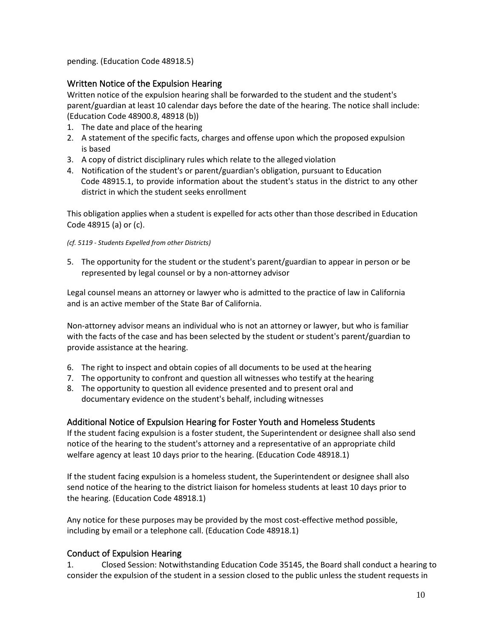pending. (Education Code 48918.5)

## Written Notice of the Expulsion Hearing

Written notice of the expulsion hearing shall be forwarded to the student and the student's parent/guardian at least 10 calendar days before the date of the hearing. The notice shall include: (Education Code 48900.8, 48918 (b))

- 1. The date and place of the hearing
- 2. A statement of the specific facts, charges and offense upon which the proposed expulsion is based
- 3. A copy of district disciplinary rules which relate to the alleged violation
- 4. Notification of the student's or parent/guardian's obligation, pursuant to Education Code 48915.1, to provide information about the student's status in the district to any other district in which the student seeks enrollment

This obligation applies when a student is expelled for acts other than those described in Education Code 48915 (a) or (c).

#### *(cf. 5119 - Students Expelled from other Districts)*

5. The opportunity for the student or the student's parent/guardian to appear in person or be represented by legal counsel or by a non-attorney advisor

Legal counsel means an attorney or lawyer who is admitted to the practice of law in California and is an active member of the State Bar of California.

Non-attorney advisor means an individual who is not an attorney or lawyer, but who is familiar with the facts of the case and has been selected by the student or student's parent/guardian to provide assistance at the hearing.

- 6. The right to inspect and obtain copies of all documents to be used at the hearing
- 7. The opportunity to confront and question all witnesses who testify at the hearing
- 8. The opportunity to question all evidence presented and to present oral and documentary evidence on the student's behalf, including witnesses

### Additional Notice of Expulsion Hearing for Foster Youth and Homeless Students

If the student facing expulsion is a foster student, the Superintendent or designee shall also send notice of the hearing to the student's attorney and a representative of an appropriate child welfare agency at least 10 days prior to the hearing. (Education Code 48918.1)

If the student facing expulsion is a homeless student, the Superintendent or designee shall also send notice of the hearing to the district liaison for homeless students at least 10 days prior to the hearing. (Education Code 48918.1)

Any notice for these purposes may be provided by the most cost-effective method possible, including by email or a telephone call. (Education Code 48918.1)

# Conduct of Expulsion Hearing

1. Closed Session: Notwithstanding Education Code 35145, the Board shall conduct a hearing to consider the expulsion of the student in a session closed to the public unless the student requests in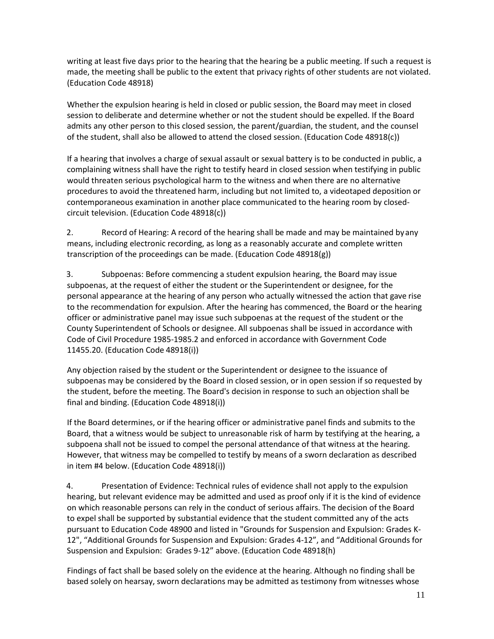writing at least five days prior to the hearing that the hearing be a public meeting. If such a request is made, the meeting shall be public to the extent that privacy rights of other students are not violated. (Education Code 48918)

Whether the expulsion hearing is held in closed or public session, the Board may meet in closed session to deliberate and determine whether or not the student should be expelled. If the Board admits any other person to this closed session, the parent/guardian, the student, and the counsel of the student, shall also be allowed to attend the closed session. (Education Code 48918(c))

If a hearing that involves a charge of sexual assault or sexual battery is to be conducted in public, a complaining witness shall have the right to testify heard in closed session when testifying in public would threaten serious psychological harm to the witness and when there are no alternative procedures to avoid the threatened harm, including but not limited to, a videotaped deposition or contemporaneous examination in another place communicated to the hearing room by closedcircuit television. (Education Code 48918(c))

2. Record of Hearing: A record of the hearing shall be made and may be maintained byany means, including electronic recording, as long as a reasonably accurate and complete written transcription of the proceedings can be made. (Education Code 48918(g))

3. Subpoenas: Before commencing a student expulsion hearing, the Board may issue subpoenas, at the request of either the student or the Superintendent or designee, for the personal appearance at the hearing of any person who actually witnessed the action that gave rise to the recommendation for expulsion. After the hearing has commenced, the Board or the hearing officer or administrative panel may issue such subpoenas at the request of the student or the County Superintendent of Schools or designee. All subpoenas shall be issued in accordance with Code of Civil Procedure 1985-1985.2 and enforced in accordance with Government Code 11455.20. (Education Code 48918(i))

Any objection raised by the student or the Superintendent or designee to the issuance of subpoenas may be considered by the Board in closed session, or in open session if so requested by the student, before the meeting. The Board's decision in response to such an objection shall be final and binding. (Education Code 48918(i))

If the Board determines, or if the hearing officer or administrative panel finds and submits to the Board, that a witness would be subject to unreasonable risk of harm by testifying at the hearing, a subpoena shall not be issued to compel the personal attendance of that witness at the hearing. However, that witness may be compelled to testify by means of a sworn declaration as described in item #4 below. (Education Code 48918(i))

4. Presentation of Evidence: Technical rules of evidence shall not apply to the expulsion hearing, but relevant evidence may be admitted and used as proof only if it is the kind of evidence on which reasonable persons can rely in the conduct of serious affairs. The decision of the Board to expel shall be supported by substantial evidence that the student committed any of the acts pursuant to Education Code 48900 and listed in "Grounds for Suspension and Expulsion: Grades K-12", "Additional Grounds for Suspension and Expulsion: Grades 4-12", and "Additional Grounds for Suspension and Expulsion: Grades 9-12" above. (Education Code 48918(h)

Findings of fact shall be based solely on the evidence at the hearing. Although no finding shall be based solely on hearsay, sworn declarations may be admitted as testimony from witnesses whose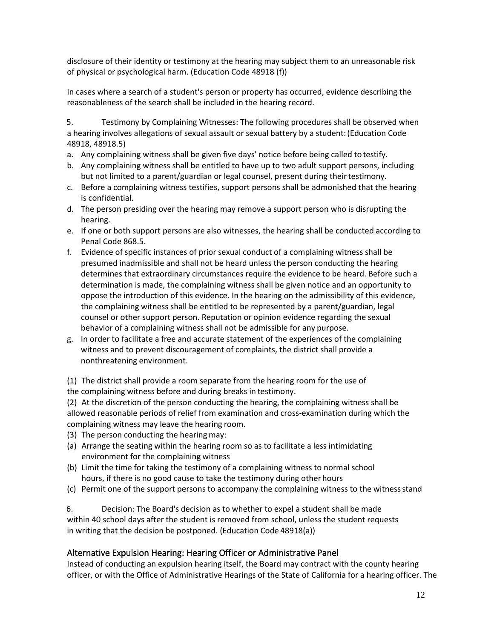disclosure of their identity or testimony at the hearing may subject them to an unreasonable risk of physical or psychological harm. (Education Code 48918 (f))

In cases where a search of a student's person or property has occurred, evidence describing the reasonableness of the search shall be included in the hearing record.

5. Testimony by Complaining Witnesses: The following procedures shall be observed when a hearing involves allegations of sexual assault or sexual battery by a student:(Education Code 48918, 48918.5)

- a. Any complaining witness shall be given five days' notice before being called totestify.
- b. Any complaining witness shall be entitled to have up to two adult support persons, including but not limited to a parent/guardian or legal counsel, present during theirtestimony.
- c. Before a complaining witness testifies, support persons shall be admonished that the hearing is confidential.
- d. The person presiding over the hearing may remove a support person who is disrupting the hearing.
- e. If one or both support persons are also witnesses, the hearing shall be conducted according to Penal Code 868.5.
- f. Evidence of specific instances of prior sexual conduct of a complaining witness shall be presumed inadmissible and shall not be heard unless the person conducting the hearing determines that extraordinary circumstances require the evidence to be heard. Before such a determination is made, the complaining witness shall be given notice and an opportunity to oppose the introduction of this evidence. In the hearing on the admissibility of this evidence, the complaining witness shall be entitled to be represented by a parent/guardian, legal counsel or other support person. Reputation or opinion evidence regarding the sexual behavior of a complaining witness shall not be admissible for any purpose.
- g. In order to facilitate a free and accurate statement of the experiences of the complaining witness and to prevent discouragement of complaints, the district shall provide a nonthreatening environment.

(1) The district shall provide a room separate from the hearing room for the use of the complaining witness before and during breaks in testimony.

(2) At the discretion of the person conducting the hearing, the complaining witness shall be allowed reasonable periods of relief from examination and cross-examination during which the complaining witness may leave the hearing room.

- (3) The person conducting the hearing may:
- (a) Arrange the seating within the hearing room so as to facilitate a less intimidating environment for the complaining witness
- (b) Limit the time for taking the testimony of a complaining witness to normal school hours, if there is no good cause to take the testimony during otherhours
- (c) Permit one of the support persons to accompany the complaining witness to the witnessstand

6. Decision: The Board's decision as to whether to expel a student shall be made within 40 school days after the student is removed from school, unless the student requests in writing that the decision be postponed. (Education Code 48918(a))

### Alternative Expulsion Hearing: Hearing Officer or Administrative Panel

Instead of conducting an expulsion hearing itself, the Board may contract with the county hearing officer, or with the Office of Administrative Hearings of the State of California for a hearing officer. The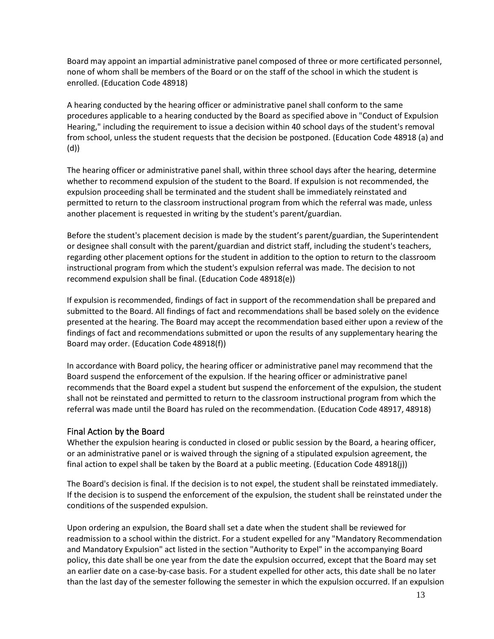Board may appoint an impartial administrative panel composed of three or more certificated personnel, none of whom shall be members of the Board or on the staff of the school in which the student is enrolled. (Education Code 48918)

A hearing conducted by the hearing officer or administrative panel shall conform to the same procedures applicable to a hearing conducted by the Board as specified above in "Conduct of Expulsion Hearing," including the requirement to issue a decision within 40 school days of the student's removal from school, unless the student requests that the decision be postponed. (Education Code 48918 (a) and (d))

The hearing officer or administrative panel shall, within three school days after the hearing, determine whether to recommend expulsion of the student to the Board. If expulsion is not recommended, the expulsion proceeding shall be terminated and the student shall be immediately reinstated and permitted to return to the classroom instructional program from which the referral was made, unless another placement is requested in writing by the student's parent/guardian.

Before the student's placement decision is made by the student's parent/guardian, the Superintendent or designee shall consult with the parent/guardian and district staff, including the student's teachers, regarding other placement options for the student in addition to the option to return to the classroom instructional program from which the student's expulsion referral was made. The decision to not recommend expulsion shall be final. (Education Code 48918(e))

If expulsion is recommended, findings of fact in support of the recommendation shall be prepared and submitted to the Board. All findings of fact and recommendations shall be based solely on the evidence presented at the hearing. The Board may accept the recommendation based either upon a review of the findings of fact and recommendations submitted or upon the results of any supplementary hearing the Board may order. (Education Code 48918(f))

In accordance with Board policy, the hearing officer or administrative panel may recommend that the Board suspend the enforcement of the expulsion. If the hearing officer or administrative panel recommends that the Board expel a student but suspend the enforcement of the expulsion, the student shall not be reinstated and permitted to return to the classroom instructional program from which the referral was made until the Board has ruled on the recommendation. (Education Code 48917, 48918)

### Final Action by the Board

Whether the expulsion hearing is conducted in closed or public session by the Board, a hearing officer, or an administrative panel or is waived through the signing of a stipulated expulsion agreement, the final action to expel shall be taken by the Board at a public meeting. (Education Code 48918(j))

The Board's decision is final. If the decision is to not expel, the student shall be reinstated immediately. If the decision is to suspend the enforcement of the expulsion, the student shall be reinstated under the conditions of the suspended expulsion.

Upon ordering an expulsion, the Board shall set a date when the student shall be reviewed for readmission to a school within the district. For a student expelled for any "Mandatory Recommendation and Mandatory Expulsion" act listed in the section "Authority to Expel" in the accompanying Board policy, this date shall be one year from the date the expulsion occurred, except that the Board may set an earlier date on a case-by-case basis. For a student expelled for other acts, this date shall be no later than the last day of the semester following the semester in which the expulsion occurred. If an expulsion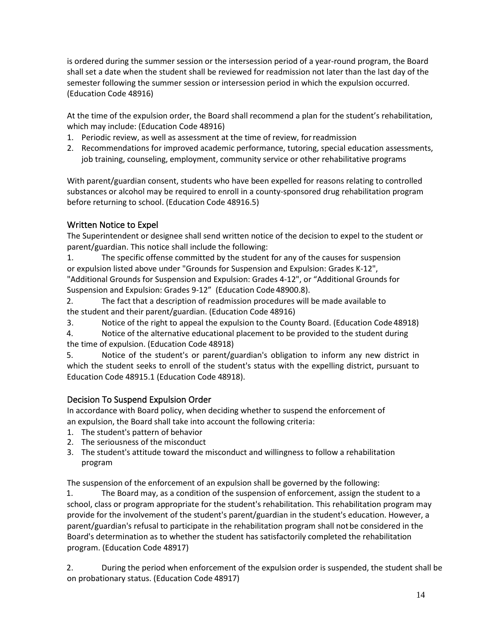is ordered during the summer session or the intersession period of a year-round program, the Board shall set a date when the student shall be reviewed for readmission not later than the last day of the semester following the summer session or intersession period in which the expulsion occurred. (Education Code 48916)

At the time of the expulsion order, the Board shall recommend a plan for the student's rehabilitation, which may include: (Education Code 48916)

- 1. Periodic review, as well as assessment at the time of review, forreadmission
- 2. Recommendations for improved academic performance, tutoring, special education assessments, job training, counseling, employment, community service or other rehabilitative programs

With parent/guardian consent, students who have been expelled for reasons relating to controlled substances or alcohol may be required to enroll in a county-sponsored drug rehabilitation program before returning to school. (Education Code 48916.5)

# Written Notice to Expel

The Superintendent or designee shall send written notice of the decision to expel to the student or parent/guardian. This notice shall include the following:

1. The specific offense committed by the student for any of the causes for suspension or expulsion listed above under "Grounds for Suspension and Expulsion: Grades K-12", "Additional Grounds for Suspension and Expulsion: Grades 4-12", or "Additional Grounds for Suspension and Expulsion: Grades 9-12" (Education Code 48900.8).

2. The fact that a description of readmission procedures will be made available to the student and their parent/guardian. (Education Code 48916)

3. Notice of the right to appeal the expulsion to the County Board. (Education Code 48918)

4. Notice of the alternative educational placement to be provided to the student during the time of expulsion. (Education Code 48918)

5. Notice of the student's or parent/guardian's obligation to inform any new district in which the student seeks to enroll of the student's status with the expelling district, pursuant to Education Code 48915.1 (Education Code 48918).

# Decision To Suspend Expulsion Order

In accordance with Board policy, when deciding whether to suspend the enforcement of an expulsion, the Board shall take into account the following criteria:

- 1. The student's pattern of behavior
- 2. The seriousness of the misconduct
- 3. The student's attitude toward the misconduct and willingness to follow a rehabilitation program

The suspension of the enforcement of an expulsion shall be governed by the following:

1. The Board may, as a condition of the suspension of enforcement, assign the student to a school, class or program appropriate for the student's rehabilitation. This rehabilitation program may provide for the involvement of the student's parent/guardian in the student's education. However, a parent/guardian's refusal to participate in the rehabilitation program shall notbe considered in the Board's determination as to whether the student has satisfactorily completed the rehabilitation program. (Education Code 48917)

2. During the period when enforcement of the expulsion order is suspended, the student shall be on probationary status. (Education Code 48917)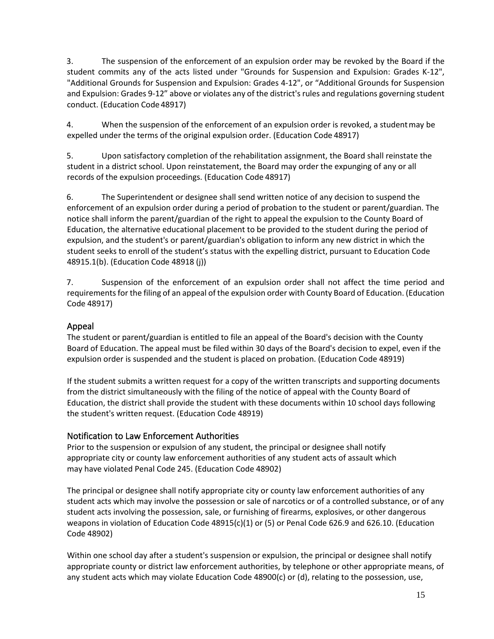3. The suspension of the enforcement of an expulsion order may be revoked by the Board if the student commits any of the acts listed under "Grounds for Suspension and Expulsion: Grades K-12", "Additional Grounds for Suspension and Expulsion: Grades 4-12", or "Additional Grounds for Suspension and Expulsion: Grades 9-12" above or violates any of the district's rules and regulations governing student conduct. (Education Code 48917)

4. When the suspension of the enforcement of an expulsion order is revoked, a studentmay be expelled under the terms of the original expulsion order. (Education Code 48917)

5. Upon satisfactory completion of the rehabilitation assignment, the Board shall reinstate the student in a district school. Upon reinstatement, the Board may order the expunging of any or all records of the expulsion proceedings. (Education Code 48917)

6. The Superintendent or designee shall send written notice of any decision to suspend the enforcement of an expulsion order during a period of probation to the student or parent/guardian. The notice shall inform the parent/guardian of the right to appeal the expulsion to the County Board of Education, the alternative educational placement to be provided to the student during the period of expulsion, and the student's or parent/guardian's obligation to inform any new district in which the student seeks to enroll of the student's status with the expelling district, pursuant to Education Code 48915.1(b). (Education Code 48918 (j))

7. Suspension of the enforcement of an expulsion order shall not affect the time period and requirements for the filing of an appeal of the expulsion order with County Board of Education. (Education Code 48917)

# Appeal

The student or parent/guardian is entitled to file an appeal of the Board's decision with the County Board of Education. The appeal must be filed within 30 days of the Board's decision to expel, even if the expulsion order is suspended and the student is placed on probation. (Education Code 48919)

If the student submits a written request for a copy of the written transcripts and supporting documents from the district simultaneously with the filing of the notice of appeal with the County Board of Education, the district shall provide the student with these documents within 10 school days following the student's written request. (Education Code 48919)

# Notification to Law Enforcement Authorities

Prior to the suspension or expulsion of any student, the principal or designee shall notify appropriate city or county law enforcement authorities of any student acts of assault which may have violated Penal Code 245. (Education Code 48902)

The principal or designee shall notify appropriate city or county law enforcement authorities of any student acts which may involve the possession or sale of narcotics or of a controlled substance, or of any student acts involving the possession, sale, or furnishing of firearms, explosives, or other dangerous weapons in violation of Education Code 48915(c)(1) or (5) or Penal Code 626.9 and 626.10. (Education Code 48902)

Within one school day after a student's suspension or expulsion, the principal or designee shall notify appropriate county or district law enforcement authorities, by telephone or other appropriate means, of any student acts which may violate Education Code 48900(c) or (d), relating to the possession, use,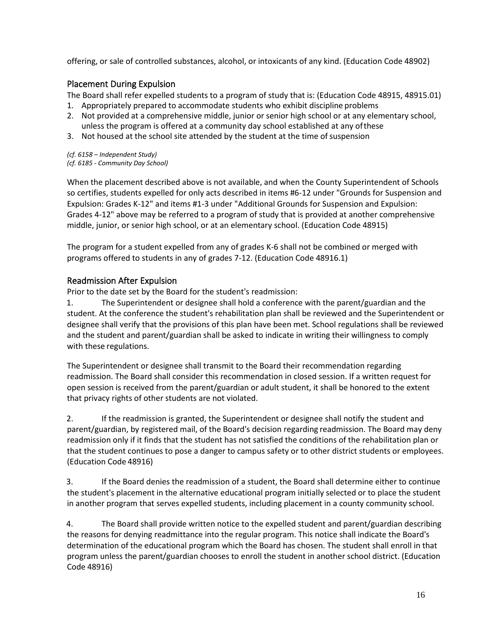offering, or sale of controlled substances, alcohol, or intoxicants of any kind. (Education Code 48902)

### Placement During Expulsion

The Board shall refer expelled students to a program of study that is: (Education Code 48915, 48915.01)

- 1. Appropriately prepared to accommodate students who exhibit discipline problems
- 2. Not provided at a comprehensive middle, junior or senior high school or at any elementary school, unless the program is offered at a community day school established at any ofthese
- 3. Not housed at the school site attended by the student at the time of suspension

*(cf. 6158 – Independent Study) (cf. 6185 - Community Day School)*

When the placement described above is not available, and when the County Superintendent of Schools so certifies, students expelled for only acts described in items #6-12 under "Grounds for Suspension and Expulsion: Grades K-12" and items #1-3 under "Additional Grounds for Suspension and Expulsion: Grades 4-12" above may be referred to a program of study that is provided at another comprehensive middle, junior, or senior high school, or at an elementary school. (Education Code 48915)

The program for a student expelled from any of grades K-6 shall not be combined or merged with programs offered to students in any of grades 7-12. (Education Code 48916.1)

### Readmission After Expulsion

Prior to the date set by the Board for the student's readmission:

1. The Superintendent or designee shall hold a conference with the parent/guardian and the student. At the conference the student's rehabilitation plan shall be reviewed and the Superintendent or designee shall verify that the provisions of this plan have been met. School regulations shall be reviewed and the student and parent/guardian shall be asked to indicate in writing their willingness to comply with these regulations.

The Superintendent or designee shall transmit to the Board their recommendation regarding readmission. The Board shall consider this recommendation in closed session. If a written request for open session is received from the parent/guardian or adult student, it shall be honored to the extent that privacy rights of other students are not violated.

2. If the readmission is granted, the Superintendent or designee shall notify the student and parent/guardian, by registered mail, of the Board's decision regarding readmission. The Board may deny readmission only if it finds that the student has not satisfied the conditions of the rehabilitation plan or that the student continues to pose a danger to campus safety or to other district students or employees. (Education Code 48916)

3. If the Board denies the readmission of a student, the Board shall determine either to continue the student's placement in the alternative educational program initially selected or to place the student in another program that serves expelled students, including placement in a county community school.

4. The Board shall provide written notice to the expelled student and parent/guardian describing the reasons for denying readmittance into the regular program. This notice shall indicate the Board's determination of the educational program which the Board has chosen. The student shall enroll in that program unless the parent/guardian chooses to enroll the student in another school district. (Education Code 48916)